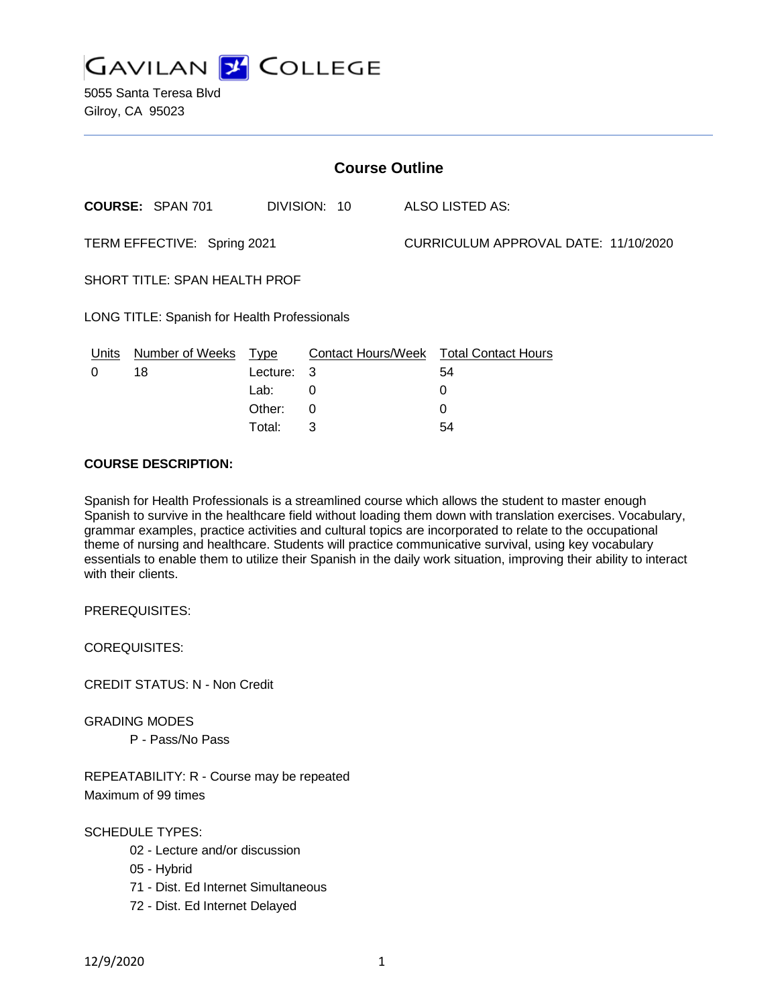

5055 Santa Teresa Blvd Gilroy, CA 95023

| <b>Course Outline</b>                               |                         |          |              |                                      |                                               |
|-----------------------------------------------------|-------------------------|----------|--------------|--------------------------------------|-----------------------------------------------|
|                                                     | <b>COURSE: SPAN 701</b> |          | DIVISION: 10 |                                      | <b>ALSO LISTED AS:</b>                        |
| TERM EFFECTIVE: Spring 2021                         |                         |          |              | CURRICULUM APPROVAL DATE: 11/10/2020 |                                               |
| SHORT TITLE: SPAN HEALTH PROF                       |                         |          |              |                                      |                                               |
| <b>LONG TITLE: Spanish for Health Professionals</b> |                         |          |              |                                      |                                               |
| <u>Units</u>                                        | Number of Weeks Type    |          |              |                                      | <b>Contact Hours/Week Total Contact Hours</b> |
| 0                                                   | 18                      | Lecture: | -3           |                                      | 54                                            |
|                                                     |                         | Lab:     | 0            |                                      | 0                                             |
|                                                     |                         | Other:   | 0            |                                      | 0                                             |
|                                                     |                         | Total:   | 3            |                                      | 54                                            |

### **COURSE DESCRIPTION:**

Spanish for Health Professionals is a streamlined course which allows the student to master enough Spanish to survive in the healthcare field without loading them down with translation exercises. Vocabulary, grammar examples, practice activities and cultural topics are incorporated to relate to the occupational theme of nursing and healthcare. Students will practice communicative survival, using key vocabulary essentials to enable them to utilize their Spanish in the daily work situation, improving their ability to interact with their clients.

PREREQUISITES:

COREQUISITES:

CREDIT STATUS: N - Non Credit

GRADING MODES

P - Pass/No Pass

REPEATABILITY: R - Course may be repeated Maximum of 99 times

SCHEDULE TYPES:

- 02 Lecture and/or discussion
- 05 Hybrid
- 71 Dist. Ed Internet Simultaneous
- 72 Dist. Ed Internet Delayed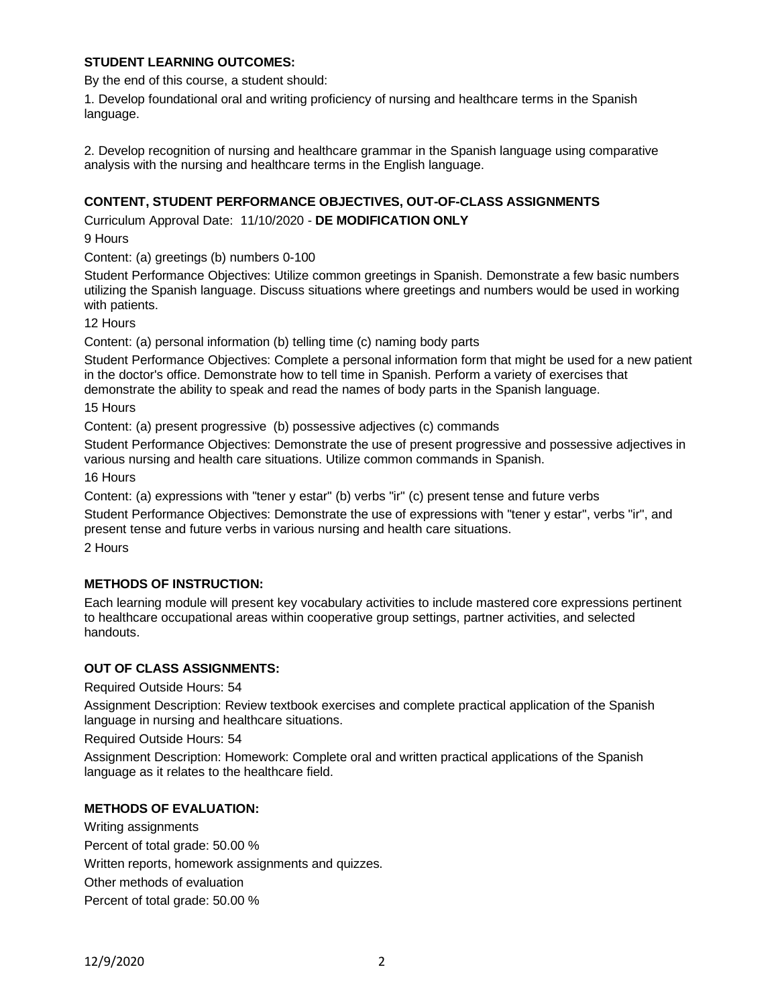## **STUDENT LEARNING OUTCOMES:**

By the end of this course, a student should:

1. Develop foundational oral and writing proficiency of nursing and healthcare terms in the Spanish language.

2. Develop recognition of nursing and healthcare grammar in the Spanish language using comparative analysis with the nursing and healthcare terms in the English language.

## **CONTENT, STUDENT PERFORMANCE OBJECTIVES, OUT-OF-CLASS ASSIGNMENTS**

Curriculum Approval Date: 11/10/2020 - **DE MODIFICATION ONLY**

9 Hours

Content: (a) greetings (b) numbers 0-100

Student Performance Objectives: Utilize common greetings in Spanish. Demonstrate a few basic numbers utilizing the Spanish language. Discuss situations where greetings and numbers would be used in working with patients.

12 Hours

Content: (a) personal information (b) telling time (c) naming body parts

Student Performance Objectives: Complete a personal information form that might be used for a new patient in the doctor's office. Demonstrate how to tell time in Spanish. Perform a variety of exercises that demonstrate the ability to speak and read the names of body parts in the Spanish language.

15 Hours

Content: (a) present progressive (b) possessive adjectives (c) commands

Student Performance Objectives: Demonstrate the use of present progressive and possessive adjectives in various nursing and health care situations. Utilize common commands in Spanish.

16 Hours

Content: (a) expressions with "tener y estar" (b) verbs "ir" (c) present tense and future verbs

Student Performance Objectives: Demonstrate the use of expressions with "tener y estar", verbs "ir", and present tense and future verbs in various nursing and health care situations.

2 Hours

## **METHODS OF INSTRUCTION:**

Each learning module will present key vocabulary activities to include mastered core expressions pertinent to healthcare occupational areas within cooperative group settings, partner activities, and selected handouts.

#### **OUT OF CLASS ASSIGNMENTS:**

Required Outside Hours: 54

Assignment Description: Review textbook exercises and complete practical application of the Spanish language in nursing and healthcare situations.

Required Outside Hours: 54

Assignment Description: Homework: Complete oral and written practical applications of the Spanish language as it relates to the healthcare field.

#### **METHODS OF EVALUATION:**

Writing assignments Percent of total grade: 50.00 % Written reports, homework assignments and quizzes. Other methods of evaluation Percent of total grade: 50.00 %